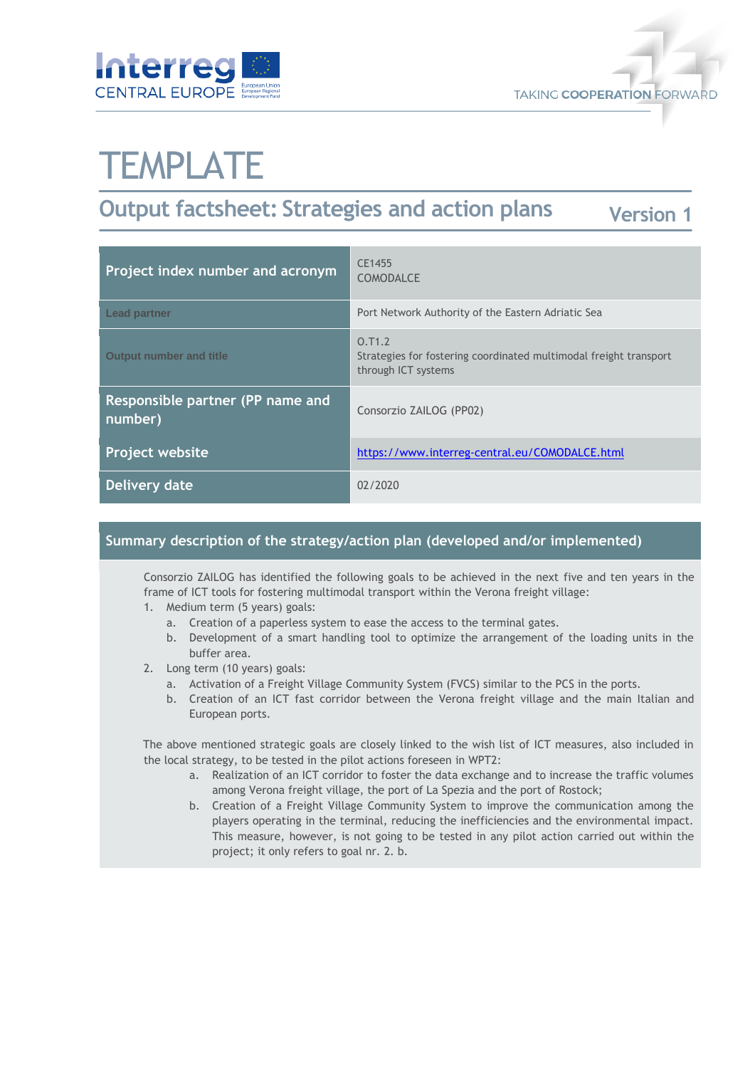



# **TEMPLATE**

#### **Output factsheet: Strategies and action plans Version 1**

| Project index number and acronym            | CE1455<br><b>COMODALCE</b>                                                                         |
|---------------------------------------------|----------------------------------------------------------------------------------------------------|
| <b>Lead partner</b>                         | Port Network Authority of the Eastern Adriatic Sea                                                 |
| <b>Output number and title</b>              | 0.71.2<br>Strategies for fostering coordinated multimodal freight transport<br>through ICT systems |
| Responsible partner (PP name and<br>number) | Consorzio ZAILOG (PP02)                                                                            |
| <b>Project website</b>                      | https://www.interreg-central.eu/COMODALCE.html                                                     |
| Delivery date                               | 02/2020                                                                                            |

### **Summary description of the strategy/action plan (developed and/or implemented)**

Consorzio ZAILOG has identified the following goals to be achieved in the next five and ten years in the frame of ICT tools for fostering multimodal transport within the Verona freight village:

- 1. Medium term (5 years) goals:
	- a. Creation of a paperless system to ease the access to the terminal gates.
	- b. Development of a smart handling tool to optimize the arrangement of the loading units in the buffer area.
- 2. Long term (10 years) goals:
	- a. Activation of a Freight Village Community System (FVCS) similar to the PCS in the ports.
	- b. Creation of an ICT fast corridor between the Verona freight village and the main Italian and European ports.

The above mentioned strategic goals are closely linked to the wish list of ICT measures, also included in the local strategy, to be tested in the pilot actions foreseen in WPT2:

- a. Realization of an ICT corridor to foster the data exchange and to increase the traffic volumes among Verona freight village, the port of La Spezia and the port of Rostock;
- b. Creation of a Freight Village Community System to improve the communication among the players operating in the terminal, reducing the inefficiencies and the environmental impact. This measure, however, is not going to be tested in any pilot action carried out within the project; it only refers to goal nr. 2. b.